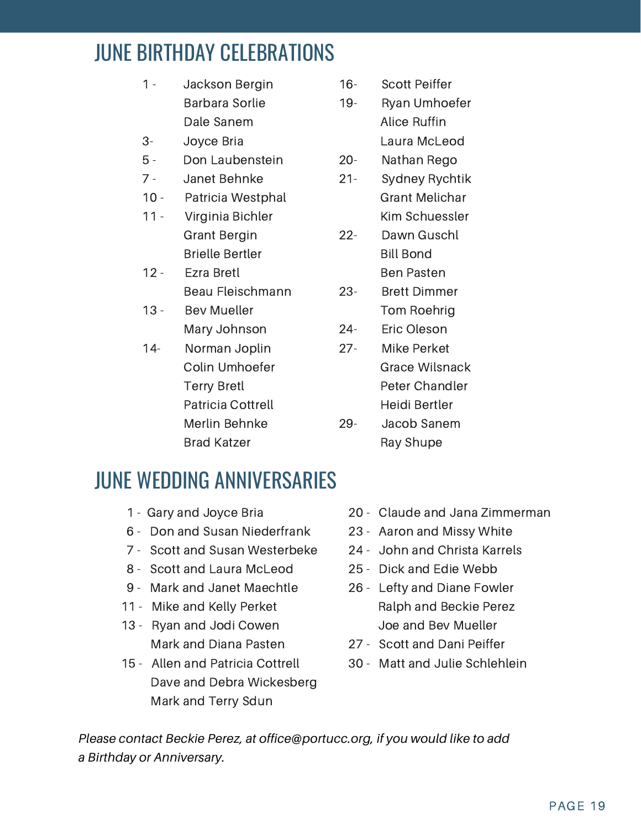# JUNE BIRTHDAY CELEBRATIONS

- 1 Jackson Bergin Barbara Sorlie Dale Sanem
- 3- Joyce Bria
- 5 Don Laubenstein
- 7 Janet Behnke
- 10 Patricia Westphal
- 11 Virginia Bichler Grant Bergin Brielle Bertler
- 12 Ezra Bretl Beau Fleischmann
- 13 Bev Mueller Mary Johnson
- 14- Norman Joplin Colin Umhoefer Terry Bretl Patricia Cottrell Merlin Behnke Brad Katzer
- 16- Scott Peiffer
- 19- Ryan Umhoefer Alice Ruffin Laura McLeod
- 20- Nathan Rego
- 21- Sydney Rychtik Grant Melichar Kim Schuessler
- 22- Dawn Guschl Bill Bond Ben Pasten
- 23- Brett Dimmer Tom Roehrig
- 24- Eric Oleson
- 27- Mike Perket Grace Wilsnack Peter Chandler Heidi Bertler
- 29- Jacob Sanem Ray Shupe

### JUNE WEDDING ANNIVERSARIES

- 1 Gary and Joyce Bria
- 6 Don and Susan Niederfrank
- 7 Scott and Susan Westerbeke
- 8 Scott and Laura McLeod
- 9 Mark and Janet Maechtle
- 11 Mike and Kelly Perket
- 13 Ryan and Jodi Cowen Mark and Diana Pasten
- 15 Allen and Patricia Cottrell Dave and Debra Wickesberg Mark and Terry Sdun
- 20 Claude and Jana Zimmerman
- 23 Aaron and Missy White
- 24 John and Christa Karrels
- 25 Dick and Edie Webb
- 26 Lefty and Diane Fowler Ralph and Beckie Perez Joe and Bev Mueller
- 27 Scott and Dani Peiffer
- 30 Matt and Julie Schlehlein

*Please contact Beckie Perez, at office@portucc.org, if you would like to add a Birthday or Anniversary.*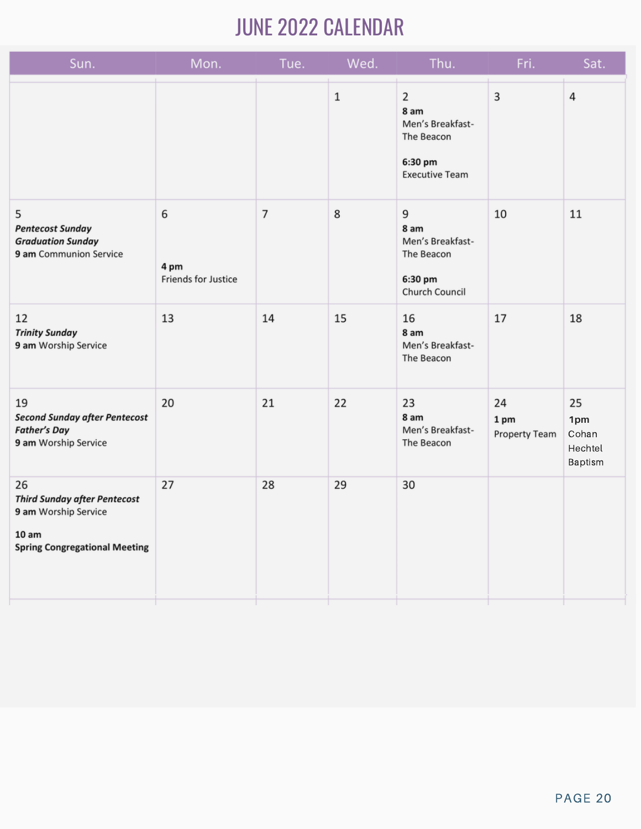# **JUNE 2022 CALENDAR**

| Sun.                                                                                                               | Mon.                             | Tue.           | Wed.        | Thu.                                                                                         | Fri.                        | Sat.                                     |
|--------------------------------------------------------------------------------------------------------------------|----------------------------------|----------------|-------------|----------------------------------------------------------------------------------------------|-----------------------------|------------------------------------------|
|                                                                                                                    |                                  |                | $\mathbf 1$ | $\overline{2}$<br>8 am<br>Men's Breakfast-<br>The Beacon<br>6:30 pm<br><b>Executive Team</b> | 3                           | $\sqrt{4}$                               |
| 5<br><b>Pentecost Sunday</b><br><b>Graduation Sunday</b><br>9 am Communion Service                                 | 6<br>4 pm<br>Friends for Justice | $\overline{7}$ | 8           | 9<br>8 am<br>Men's Breakfast-<br>The Beacon<br>6:30 pm<br>Church Council                     | 10                          | 11                                       |
| 12<br><b>Trinity Sunday</b><br>9 am Worship Service                                                                | 13                               | 14             | 15          | 16<br>8 am<br>Men's Breakfast-<br>The Beacon                                                 | 17                          | 18                                       |
| 19<br><b>Second Sunday after Pentecost</b><br><b>Father's Day</b><br>9 am Worship Service                          | 20                               | 21             | 22          | 23<br>8 am<br>Men's Breakfast-<br>The Beacon                                                 | 24<br>1 pm<br>Property Team | 25<br>1pm<br>Cohan<br>Hechtel<br>Baptism |
| 26<br><b>Third Sunday after Pentecost</b><br>9 am Worship Service<br>10 am<br><b>Spring Congregational Meeting</b> | 27                               | 28             | 29          | 30                                                                                           |                             |                                          |